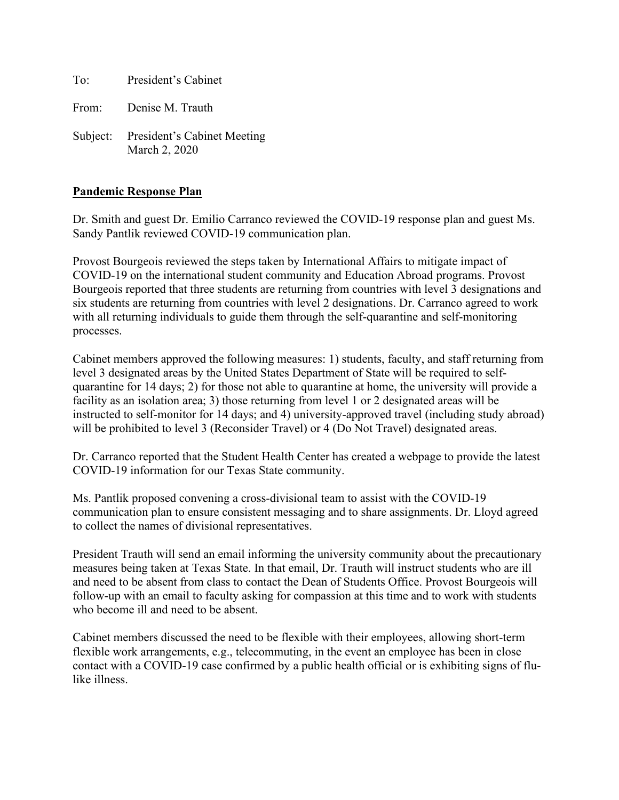To: President's Cabinet

From: Denise M. Trauth

Subject: President's Cabinet Meeting March 2, 2020

#### **Pandemic Response Plan**

Dr. Smith and guest Dr. Emilio Carranco reviewed the COVID-19 response plan and guest Ms. Sandy Pantlik reviewed COVID-19 communication plan.

Provost Bourgeois reviewed the steps taken by International Affairs to mitigate impact of COVID-19 on the international student community and Education Abroad programs. Provost Bourgeois reported that three students are returning from countries with level 3 designations and six students are returning from countries with level 2 designations. Dr. Carranco agreed to work with all returning individuals to guide them through the self-quarantine and self-monitoring processes.

Cabinet members approved the following measures: 1) students, faculty, and staff returning from level 3 designated areas by the United States Department of State will be required to selfquarantine for 14 days; 2) for those not able to quarantine at home, the university will provide a facility as an isolation area; 3) those returning from level 1 or 2 designated areas will be instructed to self-monitor for 14 days; and 4) university-approved travel (including study abroad) will be prohibited to level 3 (Reconsider Travel) or 4 (Do Not Travel) designated areas.

Dr. Carranco reported that the Student Health Center has created a webpage to provide the latest COVID-19 information for our Texas State community.

Ms. Pantlik proposed convening a cross-divisional team to assist with the COVID-19 communication plan to ensure consistent messaging and to share assignments. Dr. Lloyd agreed to collect the names of divisional representatives.

President Trauth will send an email informing the university community about the precautionary measures being taken at Texas State. In that email, Dr. Trauth will instruct students who are ill and need to be absent from class to contact the Dean of Students Office. Provost Bourgeois will follow-up with an email to faculty asking for compassion at this time and to work with students who become ill and need to be absent.

Cabinet members discussed the need to be flexible with their employees, allowing short-term flexible work arrangements, e.g., telecommuting, in the event an employee has been in close contact with a COVID-19 case confirmed by a public health official or is exhibiting signs of flulike illness.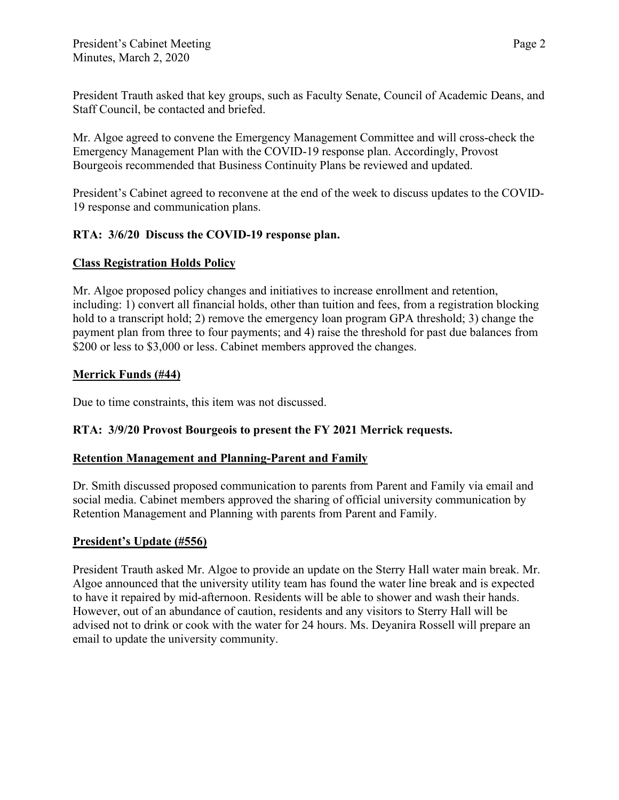President Trauth asked that key groups, such as Faculty Senate, Council of Academic Deans, and Staff Council, be contacted and briefed.

Mr. Algoe agreed to convene the Emergency Management Committee and will cross-check the Emergency Management Plan with the COVID-19 response plan. Accordingly, Provost Bourgeois recommended that Business Continuity Plans be reviewed and updated.

President's Cabinet agreed to reconvene at the end of the week to discuss updates to the COVID-19 response and communication plans.

# **RTA: 3/6/20 Discuss the COVID-19 response plan.**

## **Class Registration Holds Policy**

Mr. Algoe proposed policy changes and initiatives to increase enrollment and retention, including: 1) convert all financial holds, other than tuition and fees, from a registration blocking hold to a transcript hold; 2) remove the emergency loan program GPA threshold; 3) change the payment plan from three to four payments; and 4) raise the threshold for past due balances from \$200 or less to \$3,000 or less. Cabinet members approved the changes.

## **Merrick Funds (#44)**

Due to time constraints, this item was not discussed.

# **RTA: 3/9/20 Provost Bourgeois to present the FY 2021 Merrick requests.**

### **Retention Management and Planning-Parent and Family**

Dr. Smith discussed proposed communication to parents from Parent and Family via email and social media. Cabinet members approved the sharing of official university communication by Retention Management and Planning with parents from Parent and Family.

### **President's Update (#556)**

President Trauth asked Mr. Algoe to provide an update on the Sterry Hall water main break. Mr. Algoe announced that the university utility team has found the water line break and is expected to have it repaired by mid-afternoon. Residents will be able to shower and wash their hands. However, out of an abundance of caution, residents and any visitors to Sterry Hall will be advised not to drink or cook with the water for 24 hours. Ms. Deyanira Rossell will prepare an email to update the university community.